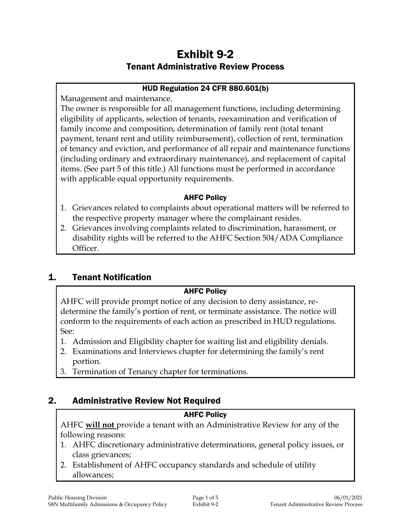# Exhibit 9-2 Tenant Administrative Review Process

### HUD Regulation 24 CFR 880.601(b)

Management and maintenance.

The owner is responsible for all management functions, including determining eligibility of applicants, selection of tenants, reexamination and verification of family income and composition, determination of family rent (total tenant payment, tenant rent and utility reimbursement), collection of rent, termination of tenancy and eviction, and performance of all repair and maintenance functions (including ordinary and extraordinary maintenance), and replacement of capital items. (See part 5 of this title.) All functions must be performed in accordance with applicable equal opportunity requirements.

### AHFC Policy

- 1. Grievances related to complaints about operational matters will be referred to the respective property manager where the complainant resides.
- 2. Grievances involving complaints related to discrimination, harassment, or disability rights will be referred to the AHFC Section 504/ADA Compliance Officer.

## 1. Tenant Notification

### AHFC Policy

AHFC will provide prompt notice of any decision to deny assistance, redetermine the family's portion of rent, or terminate assistance. The notice will conform to the requirements of each action as prescribed in HUD regulations. See:

- 1. Admission and Eligibility chapter for waiting list and eligibility denials.
- 2. Examinations and Interviews chapter for determining the family's rent portion.
- 3. Termination of Tenancy chapter for terminations.

# 2. Administrative Review Not Required

### AHFC Policy

AHFC **will not** provide a tenant with an Administrative Review for any of the following reasons:

- 1. AHFC discretionary administrative determinations, general policy issues, or class grievances;
- 2. Establishment of AHFC occupancy standards and schedule of utility allowances;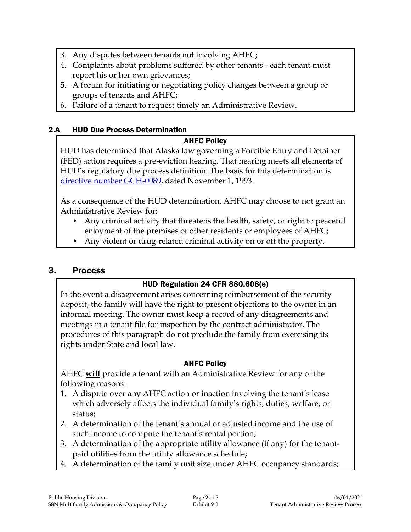- 3. Any disputes between tenants not involving AHFC;
- 4. Complaints about problems suffered by other tenants each tenant must report his or her own grievances;
- 5. A forum for initiating or negotiating policy changes between a group or groups of tenants and AHFC;
- 6. Failure of a tenant to request timely an Administrative Review.

### 2.A HUD Due Process Determination

### AHFC Policy

HUD has determined that Alaska law governing a Forcible Entry and Detainer (FED) action requires a pre-eviction hearing. That hearing meets all elements of HUD's regulatory due process definition. The basis for this determination is [directive number](GCH-0089_110193.pdf) GCH-0089, dated November 1, 1993.

As a consequence of the HUD determination, AHFC may choose to not grant an Administrative Review for:

- Any criminal activity that threatens the health, safety, or right to peaceful enjoyment of the premises of other residents or employees of AHFC;
- Any violent or drug-related criminal activity on or off the property.

### 3. Process

### HUD Regulation 24 CFR 880.608(e)

In the event a disagreement arises concerning reimbursement of the security deposit, the family will have the right to present objections to the owner in an informal meeting. The owner must keep a record of any disagreements and meetings in a tenant file for inspection by the contract administrator. The procedures of this paragraph do not preclude the family from exercising its rights under State and local law.

### AHFC Policy

AHFC **will** provide a tenant with an Administrative Review for any of the following reasons.

- 1. A dispute over any AHFC action or inaction involving the tenant's lease which adversely affects the individual family's rights, duties, welfare, or status;
- 2. A determination of the tenant's annual or adjusted income and the use of such income to compute the tenant's rental portion;
- 3. A determination of the appropriate utility allowance (if any) for the tenantpaid utilities from the utility allowance schedule;
- 4. A determination of the family unit size under AHFC occupancy standards;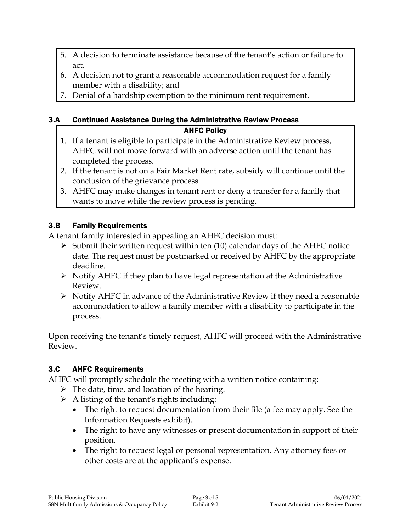- 5. A decision to terminate assistance because of the tenant's action or failure to act.
- 6. A decision not to grant a reasonable accommodation request for a family member with a disability; and
- 7. Denial of a hardship exemption to the minimum rent requirement.

### 3.A Continued Assistance During the Administrative Review Process

### AHFC Policy

- 1. If a tenant is eligible to participate in the Administrative Review process, AHFC will not move forward with an adverse action until the tenant has completed the process.
- 2. If the tenant is not on a Fair Market Rent rate, subsidy will continue until the conclusion of the grievance process.
- 3. AHFC may make changes in tenant rent or deny a transfer for a family that wants to move while the review process is pending.

## 3.B Family Requirements

A tenant family interested in appealing an AHFC decision must:

- $\triangleright$  Submit their written request within ten (10) calendar days of the AHFC notice date. The request must be postmarked or received by AHFC by the appropriate deadline.
- $\triangleright$  Notify AHFC if they plan to have legal representation at the Administrative Review.
- $\triangleright$  Notify AHFC in advance of the Administrative Review if they need a reasonable accommodation to allow a family member with a disability to participate in the process.

Upon receiving the tenant's timely request, AHFC will proceed with the Administrative Review.

### 3.C AHFC Requirements

AHFC will promptly schedule the meeting with a written notice containing:

- $\triangleright$  The date, time, and location of the hearing.
- $\triangleright$  A listing of the tenant's rights including:
	- The right to request documentation from their file (a fee may apply. See the Information Requests exhibit).
	- The right to have any witnesses or present documentation in support of their position.
	- The right to request legal or personal representation. Any attorney fees or other costs are at the applicant's expense.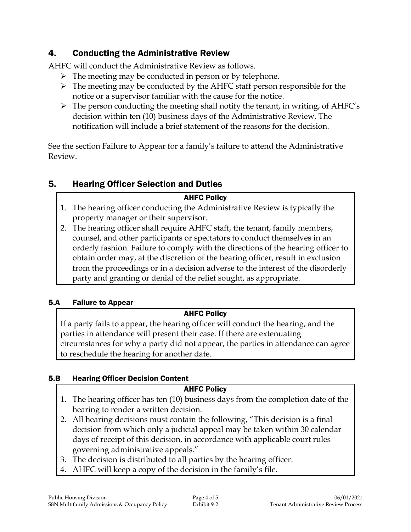# 4. Conducting the Administrative Review

AHFC will conduct the Administrative Review as follows.

- $\triangleright$  The meeting may be conducted in person or by telephone.
- $\triangleright$  The meeting may be conducted by the AHFC staff person responsible for the notice or a supervisor familiar with the cause for the notice.
- $\triangleright$  The person conducting the meeting shall notify the tenant, in writing, of AHFC's decision within ten (10) business days of the Administrative Review. The notification will include a brief statement of the reasons for the decision.

See the section Failure to Appear for a family's failure to attend the Administrative Review.

# 5. Hearing Officer Selection and Duties

## AHFC Policy

- 1. The hearing officer conducting the Administrative Review is typically the property manager or their supervisor.
- 2. The hearing officer shall require AHFC staff, the tenant, family members, counsel, and other participants or spectators to conduct themselves in an orderly fashion. Failure to comply with the directions of the hearing officer to obtain order may, at the discretion of the hearing officer, result in exclusion from the proceedings or in a decision adverse to the interest of the disorderly party and granting or denial of the relief sought, as appropriate.

## 5.A Failure to Appear

## AHFC Policy

If a party fails to appear, the hearing officer will conduct the hearing, and the parties in attendance will present their case. If there are extenuating circumstances for why a party did not appear, the parties in attendance can agree to reschedule the hearing for another date.

### 5.B Hearing Officer Decision Content

### AHFC Policy

- 1. The hearing officer has ten (10) business days from the completion date of the hearing to render a written decision.
- 2. All hearing decisions must contain the following, "This decision is a final decision from which only a judicial appeal may be taken within 30 calendar days of receipt of this decision, in accordance with applicable court rules governing administrative appeals."
- 3. The decision is distributed to all parties by the hearing officer.
- AHFC will keep a copy of the decision in the family's file.